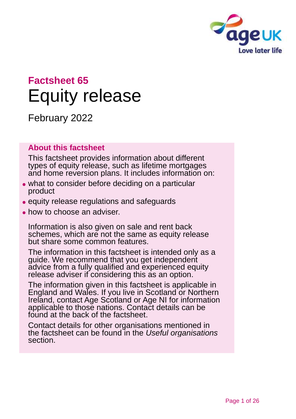

# **Factsheet 65** Equity release

February 2022

#### **About this factsheet**

This factsheet provides information about different types of equity release, such as lifetime mortgages and home reversion plans. It includes information on:

- ⚫ what to consider before deciding on a particular product
- ⚫ equity release regulations and safeguards
- how to choose an adviser.

Information is also given on sale and rent back schemes, which are not the same as equity release but share some common features.

The information in this factsheet is intended only as a guide. We recommend that you get independent advice from a fully qualified and experienced equity release adviser if considering this as an option.

The information given in this factsheet is applicable in England and Wales. If you live in Scotland or Northern Ireland, contact [Age Scotland or Age NI](#page-24-0) for information applicable to those nations. Contact details can be found at the back of the factsheet.

Contact details for other organisations mentioned in the factsheet can be found in the *[Useful organisations](#page-22-0)* [section.](#page-22-0)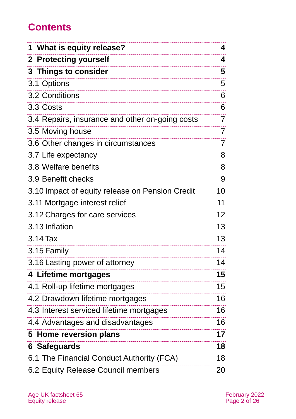## **Contents**

| 1 What is equity release?                       | 4  |
|-------------------------------------------------|----|
| 2 Protecting yourself                           | 4  |
| <b>3 Things to consider</b>                     | 5  |
| 3.1 Options                                     | 5  |
| 3.2 Conditions                                  | 6  |
| 3.3 Costs                                       | 6  |
| 3.4 Repairs, insurance and other on-going costs | 7  |
| 3.5 Moving house                                | 7  |
| 3.6 Other changes in circumstances              | 7  |
| 3.7 Life expectancy                             | 8  |
| 3.8 Welfare benefits                            | 8  |
| 3.9 Benefit checks                              | 9  |
| 3.10 Impact of equity release on Pension Credit | 10 |
| 3.11 Mortgage interest relief                   | 11 |
| 3.12 Charges for care services                  | 12 |
| 3.13 Inflation                                  | 13 |
| 3.14 Tax                                        | 13 |
| 3.15 Family                                     | 14 |
| 3.16 Lasting power of attorney                  | 14 |
| 4 Lifetime mortgages                            | 15 |
| 4.1 Roll-up lifetime mortgages                  | 15 |
| 4.2 Drawdown lifetime mortgages                 | 16 |
| 4.3 Interest serviced lifetime mortgages        | 16 |
| 4.4 Advantages and disadvantages                | 16 |
| 5 Home reversion plans                          | 17 |
| 6 Safeguards                                    | 18 |
| 6.1 The Financial Conduct Authority (FCA)       | 18 |
| 6.2 Equity Release Council members              | 20 |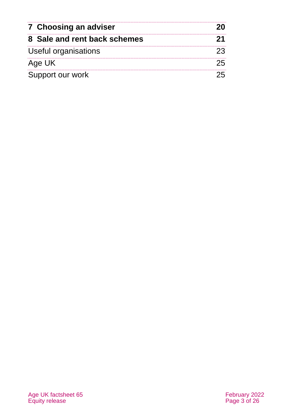| 7 Choosing an adviser        |  |
|------------------------------|--|
| 8 Sale and rent back schemes |  |
| Useful organisations         |  |
| Age UK                       |  |
| Support our work             |  |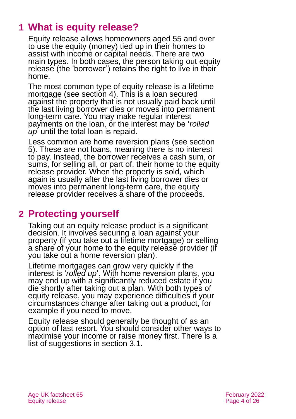## <span id="page-3-0"></span>**1 What is equity release?**

Equity release allows homeowners aged 55 and over to use the equity (money) tied up in their homes to assist with income or capital needs. There are two main types. In both cases, the person taking out equity release (the 'borrower') retains the right to live in their home.

The most common type of equity release is a lifetime mortgage (see [section 4\)](#page-14-0). This is a loan secured against the property that is not usually paid back until the last living borrower dies or moves into permanent long-term care. You may make regular interest payments on the loan, or the interest may be '*rolled up*' until the total loan is repaid.

Less common are home reversion plans (see [section](#page-16-0)  [5\)](#page-16-0). These are not loans, meaning there is no interest to pay. Instead, the borrower receives a cash sum, or sums, for selling all, or part of, their home to the equity release provider. When the property is sold, which again is usually after the last living borrower dies or moves into permanent long-term care, the equity release provider receives a share of the proceeds.

## <span id="page-3-1"></span>**2 Protecting yourself**

Taking out an equity release product is a significant decision. It involves securing a loan against your property (if you take out a lifetime mortgage) or selling a share of your home to the equity release provider (if you take out a home reversion plan).

Lifetime mortgages can grow very quickly if the interest is '*rolled up*'. With home reversion plans, you may end up with a significantly reduced estate if you die shortly after taking out a plan. With both types of equity release, you may experience difficulties if your circumstances change after taking out a product, for example if you need to move.

Equity release should generally be thought of as an option of last resort. You should consider other ways to maximise your income or raise money first. There is a list of suggestions in [section 3.1.](#page-4-1)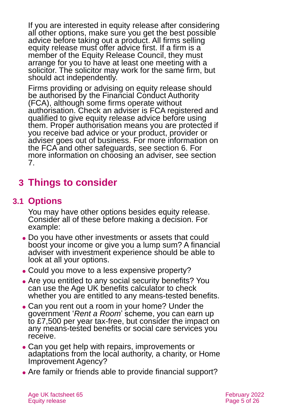If you are interested in equity release after considering all other options, make sure you get the best possible advice before taking out a product. All firms selling equity release must offer advice first. If a firm is a member of the Equity Release Council, they must arrange for you to have at least one meeting with a solicitor. The solicitor may work for the same firm, but should act independently.

Firms providing or advising on equity release should be authorised by the Financial Conduct Authority (FCA), although some firms operate without authorisation. Check an adviser is FCA registered and qualified to give equity release advice before using them. Proper authorisation means you are protected if you receive bad advice or your product, provider or adviser goes out of business. For more information on the FCA and other safeguards, see [section](#page-17-0) 6. For more information on choosing an adviser, see [section](#page-19-0)  [7.](#page-19-0)

## <span id="page-4-1"></span><span id="page-4-0"></span>**3 Things to consider**

## **3.1 Options**

You may have other options besides equity release. Consider all of these before making a decision. For example:

- ⚫ Do you have other investments or assets that could boost your income or give you a lump sum? A financial adviser with investment experience should be able to look at all your options.
- Could you move to a less expensive property?
- Are you entitled to any social security benefits? You can use the [Age UK benefits calculator](https://www.ageuk.org.uk/information-advice/money-legal/benefits-entitlements/benefits-calculator/) to check whether you are entitled to any means-tested benefits.
- ⚫ Can you rent out a room in your home? Under the government '*[Rent a Room](https://www.gov.uk/rent-room-in-your-home/the-rent-a-room-scheme)*' scheme, you can earn up to £7,500 per year tax-free, but consider the impact on any means-tested benefits or social care services you receive.
- Can you get help with repairs, improvements or adaptations from the local authority, a charity, or Home Improvement Agency?
- Are family or friends able to provide financial support?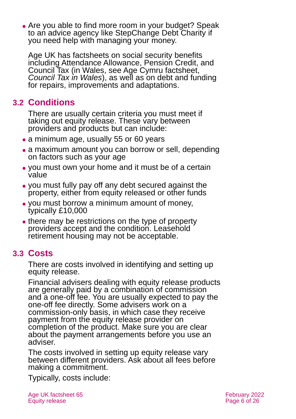• Are you able to find more room in your budget? Speak to an advice agency like StepChange Debt Charity if you need help with managing your money.

Age UK has factsheets on social security benefits including [Attendance Allowance,](https://www.ageuk.org.uk/globalassets/age-uk/documents/factsheets/fs34_attendance_allowance_fcs.pdf) [Pension Credit,](https://www.ageuk.org.uk/globalassets/age-uk/documents/factsheets/fs48_pension_credit_fcs.pdf) and [Council Tax](https://www.ageuk.org.uk/globalassets/age-uk/documents/factsheets/fs21_council_tax_fcs.pdf) (in Wales, see Age Cymru factsheet, *[Council Tax in Wales](https://www.ageuk.org.uk/globalassets/age-cymru/documents/information-guides-and-factsheets/fs21w.pdf)*), as well as on [debt](http://www.ageuk.org.uk/Documents/EN-GB/Factsheets/FS75_Dealing_with_debt_fcs.pdf?dtrk=true) and [funding](http://www.ageuk.org.uk/Documents/EN-GB/Factsheets/FS67_Tenancy_rights_repairs_fcs.pdf?dtrk=true)  [for repairs, improvements and adaptations.](http://www.ageuk.org.uk/Documents/EN-GB/Factsheets/FS67_Tenancy_rights_repairs_fcs.pdf?dtrk=true)

## **3.2 Conditions**

There are usually certain criteria you must meet if taking out equity release. These vary between providers and products but can include:

- a minimum age, usually 55 or 60 years
- a maximum amount you can borrow or sell, depending on factors such as your age
- ⚫ you must own your home and it must be of a certain value
- ⚫ you must fully pay off any debt secured against the property, either from equity released or other funds
- ⚫ you must borrow a minimum amount of money, typically £10,000
- there may be restrictions on the type of property providers accept and the condition. Leasehold retirement housing may not be acceptable.

## **3.3 Costs**

There are costs involved in identifying and setting up equity release.

Financial advisers dealing with equity release products are generally paid by a combination of commission and a one-off fee. You are usually expected to pay the one-off fee directly. Some advisers work on a commission-only basis, in which case they receive payment from the equity release provider on completion of the product. Make sure you are clear about the payment arrangements before you use an adviser.

The costs involved in setting up equity release vary between different providers. Ask about all fees before making a commitment.

Typically, costs include: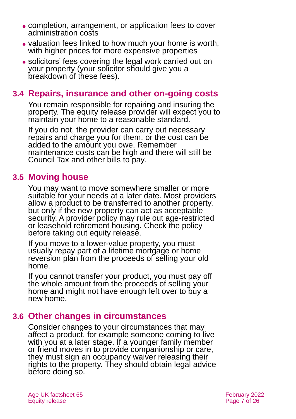- ⚫ completion, arrangement, or application fees to cover administration costs
- ⚫ valuation fees linked to how much your home is worth, with higher prices for more expensive properties
- ⚫ solicitors' fees covering the legal work carried out on your property (your solicitor should give you a breakdown of these fees).

### **3.4 Repairs, insurance and other on-going costs**

You remain responsible for repairing and insuring the property. The equity release provider will expect you to maintain your home to a reasonable standard.

If you do not, the provider can carry out necessary repairs and charge you for them, or the cost can be added to the amount you owe. Remember maintenance costs can be high and there will still be Council Tax and other bills to pay.

#### **3.5 Moving house**

You may want to move somewhere smaller or more suitable for your needs at a later date. Most providers allow a product to be transferred to another property, but only if the new property can act as acceptable security. A provider policy may rule out age-restricted or leasehold retirement housing. Check the policy before taking out equity release.

If you move to a lower-value property, you must usually repay part of a lifetime mortgage or home reversion plan from the proceeds of selling your old home.

If you cannot transfer your product, you must pay off the whole amount from the proceeds of selling your home and might not have enough left over to buy a new home.

### **3.6 Other changes in circumstances**

Consider changes to your circumstances that may affect a product, for example someone coming to live with you at a later stage. If a younger family member or friend moves in to provide companionship or care, they must sign an occupancy waiver releasing their rights to the property. They should obtain legal advice before doing so.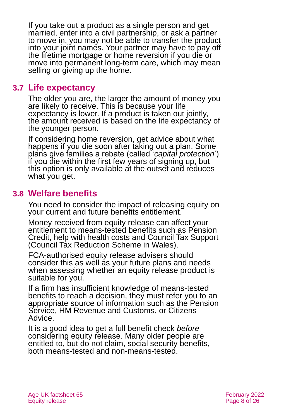If you take out a product as a single person and get married, enter into a civil partnership, or ask a partner to move in, you may not be able to transfer the product into your joint names. Your partner may have to pay off the lifetime mortgage or home reversion if you die or move into permanent long-term care, which may mean selling or giving up the home.

#### **3.7 Life expectancy**

The older you are, the larger the amount of money you are likely to receive. This is because your life expectancy is lower. If a product is taken out jointly, the amount received is based on the life expectancy of the younger person.

If considering home reversion, get advice about what happens if you die soon after taking out a plan. Some plans give families a rebate (called '*capital protection*') if you die within the first few years of signing up, but this option is only available at the outset and reduces what you get.

#### **3.8 Welfare benefits**

You need to consider the impact of releasing equity on your current and future benefits entitlement.

Money received from equity release can affect your entitlement to means-tested benefits such as Pension Credit, help with health costs and Council Tax Support (Council Tax Reduction Scheme in Wales).

FCA-authorised equity release advisers should consider this as well as your future plans and needs when assessing whether an equity release product is suitable for you.

If a firm has insufficient knowledge of means-tested benefits to reach a decision, they must refer you to an appropriate source of information such as the Pension Service, HM Revenue and Customs, or Citizens Advice.

It is a good idea to get a full benefit check *before* considering equity release. Many older people are entitled to, but do not claim, social security benefits, both means-tested and non-means-tested.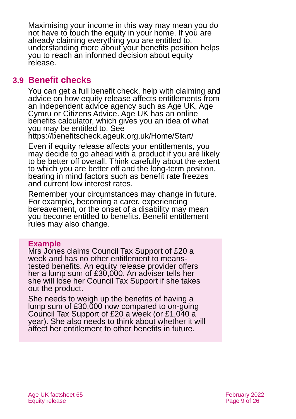Maximising your income in this way may mean you do not have to touch the equity in your home. If you are already claiming everything you are entitled to, understanding more about your benefits position helps you to reach an informed decision about equity release.

#### **3.9 Benefit checks**

You can get a full benefit check, help with claiming and advice on how equity release affects entitlements from an independent advice agency such as [Age UK,](#page-24-1) Age Cymru or [Citizens Advice.](https://www.citizensadvice.org.uk/) Age UK has an [online](http://www.ageuk.org.uk/money-matters/claiming-benefits/benefits-calculator/)  [benefits calculator,](http://www.ageuk.org.uk/money-matters/claiming-benefits/benefits-calculator/) which gives you an idea of what you may be entitled to. See

<https://benefitscheck.ageuk.org.uk/Home/Start/>

Even if equity release affects your entitlements, you may decide to go ahead with a product if you are likely to be better off overall. Think carefully about the extent to which you are better off and the long-term position, bearing in mind factors such as benefit rate freezes and current low interest rates.

Remember your circumstances may change in future. For example, becoming a carer, experiencing bereavement, or the onset of a disability may mean you become entitled to benefits. Benefit entitlement rules may also change.

#### **Example**

Mrs Jones claims Council Tax Support of £20 a week and has no other entitlement to meanstested benefits. An equity release provider offers her a lump sum of £30,000. An adviser tells her she will lose her Council Tax Support if she takes out the product.

She needs to weigh up the benefits of having a lump sum of £30,000 now compared to on-going Council Tax Support of £20 a week (or £1,040 a year). She also needs to think about whether it will affect her entitlement to other benefits in future.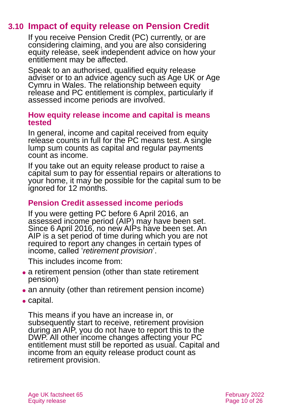## **3.10 Impact of equity release on Pension Credit**

If you receive Pension Credit (PC) currently, or are considering claiming, and you are also considering equity release, seek independent advice on how your entitlement may be affected.

Speak to an authorised, qualified equity release adviser or to an advice agency such as [Age UK](#page-24-1) or Age [Cymru in Wales.](#page-24-1) The relationship between equity release and PC entitlement is complex, particularly if assessed income periods are involved.

#### **How equity release income and capital is means tested**

In general, income and capital received from equity release counts in full for the PC means test. A single lump sum counts as capital and regular payments count as income.

If you take out an equity release product to raise a capital sum to pay for essential repairs or alterations to your home, it may be possible for the capital sum to be ignored for 12 months.

#### **Pension Credit assessed income periods**

If you were getting PC before 6 April 2016, an assessed income period (AIP) may have been set. Since 6 April 2016, no new AIPs have been set. An AIP is a set period of time during which you are not required to report any changes in certain types of income, called '*retirement provision*'.

This includes income from:

- a retirement pension (other than state retirement pension)
- an annuity (other than retirement pension income)
- capital.

This means if you have an increase in, or subsequently start to receive, retirement provision during an AIP, you do not have to report this to the DWP. All other income changes affecting your PC entitlement must still be reported as usual. Capital and income from an equity release product count as retirement provision.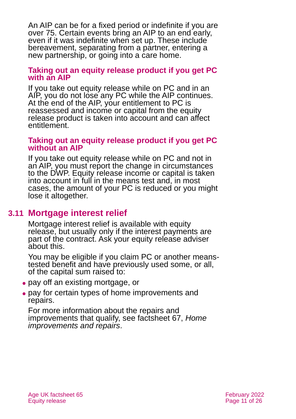An AIP can be for a fixed period or indefinite if you are over 75. Certain events bring an AIP to an end early, even if it was indefinite when set up. These include bereavement, separating from a partner, entering a new partnership, or going into a care home.

#### **Taking out an equity release product if you get PC with an AIP**

If you take out equity release while on PC and in an AIP, you do not lose any PC while the AIP continues. At the end of the AIP, your entitlement to PC is reassessed and income or capital from the equity release product is taken into account and can affect entitlement.

#### **Taking out an equity release product if you get PC without an AIP**

If you take out equity release while on PC and not in an AIP, you must report the change in circumstances to the DWP. Equity release income or capital is taken into account in full in the means test and, in most cases, the amount of your PC is reduced or you might lose it altogether.

### **3.11 Mortgage interest relief**

Mortgage interest relief is available with equity release, but usually only if the interest payments are part of the contract. Ask your equity release adviser about this.

You may be eligible if you claim PC or another meanstested benefit and have previously used some, or all, of the capital sum raised to:

- ⚫ pay off an existing mortgage, or
- ⚫ pay for certain types of home improvements and repairs.

For more information about the repairs and improvements that qualify, see factsheet 67, *[Home](https://www.ageuk.org.uk/globalassets/age-uk/documents/factsheets/fs67_home_improvements_and_repairs_fcs.pdf)  [improvements and repairs](https://www.ageuk.org.uk/globalassets/age-uk/documents/factsheets/fs67_home_improvements_and_repairs_fcs.pdf)*.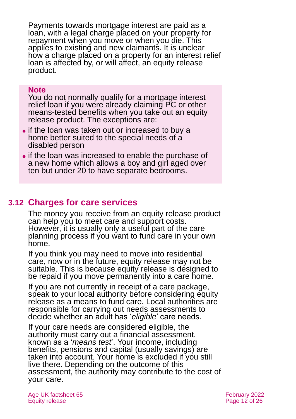Payments towards mortgage interest are paid as a loan, with a legal charge placed on your property for repayment when you move or when you die. This applies to existing and new claimants. It is unclear how a charge placed on a property for an interest relief loan is affected by, or will affect, an equity release product.

#### **Note**

You do not normally qualify for a mortgage interest relief loan if you were already claiming PC or other means-tested benefits when you take out an equity release product. The exceptions are:

- ⚫ if the loan was taken out or increased to buy a home better suited to the special needs of a disabled person
- ⚫ if the loan was increased to enable the purchase of a new home which allows a boy and girl aged over ten but under 20 to have separate bedrooms.

## **3.12 Charges for care services**

The money you receive from an equity release product can help you to meet care and support costs. However, it is usually only a useful part of the care planning process if you want to fund care in your own home.

If you think you may need to move into residential care, now or in the future, equity release may not be suitable. This is because equity release is designed to be repaid if you move permanently into a care home.

If you are not currently in receipt of a care package, speak to your local authority before considering equity release as a means to fund care. Local authorities are responsible for carrying out needs assessments to decide whether an adult has '*eligible*' care needs.

If your care needs are considered eligible, the authority must carry out a financial assessment, known as a '*means test*'. Your income, including benefits, pensions and capital (usually savings) are taken into account. Your home is excluded if you still live there. Depending on the outcome of this assessment, the authority may contribute to the cost of your care.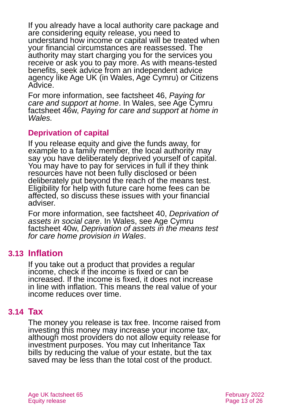If you already have a local authority care package and are considering equity release, you need to understand how income or capital will be treated when your financial circumstances are reassessed. The authority may start charging you for the services you receive or ask you to pay more. As with means-tested benefits, seek advice from an independent advice agency like Age UK (in Wales, Age Cymru) or Citizens Advice.

For more information, see [factsheet 46,](https://www.ageuk.org.uk/globalassets/age-uk/documents/factsheets/fs46_paying_for_care_and_support_at_home_fcs.pdf) *Paying for [care and support at home](https://www.ageuk.org.uk/globalassets/age-uk/documents/factsheets/fs46_paying_for_care_and_support_at_home_fcs.pdf)*. In Wales, see Age Cymru factsheet 46w, *[Paying for care and support at home in](https://www.ageuk.org.uk/globalassets/age-cymru/documents/information-guides-and-factsheets/fs46w.pdf)  [Wales.](https://www.ageuk.org.uk/globalassets/age-cymru/documents/information-guides-and-factsheets/fs46w.pdf)*

#### **Deprivation of capital**

If you release equity and give the funds away, for example to a family member, the local authority may say you have deliberately deprived yourself of capital. You may have to pay for services in full if they think resources have not been fully disclosed or been deliberately put beyond the reach of the means test. Eligibility for help with future care home fees can be affected, so discuss these issues with your financial adviser.

For more information, see factsheet 40, *[Deprivation of](https://www.ageuk.org.uk/globalassets/age-uk/documents/factsheets/fs40_deprivation_of_assets_in_social_care_fcs.pdf)  [assets in social care](https://www.ageuk.org.uk/globalassets/age-uk/documents/factsheets/fs40_deprivation_of_assets_in_social_care_fcs.pdf)*. In Wales, see Age Cymru factsheet 40w, *[Deprivation of assets in the means test](https://www.ageuk.org.uk/globalassets/age-cymru/documents/information-guides-and-factsheets/fs40w.pdf)  [for care home provision in Wales](https://www.ageuk.org.uk/globalassets/age-cymru/documents/information-guides-and-factsheets/fs40w.pdf)*.

### **3.13 Inflation**

If you take out a product that provides a regular income, check if the income is fixed or can be increased. If the income is fixed, it does not increase in line with inflation. This means the real value of your income reduces over time.

### **3.14 Tax**

The money you release is tax free. Income raised from investing this money may increase your income tax, although most providers do not allow equity release for investment purposes. You may cut Inheritance Tax bills by reducing the value of your estate, but the tax saved may be less than the total cost of the product.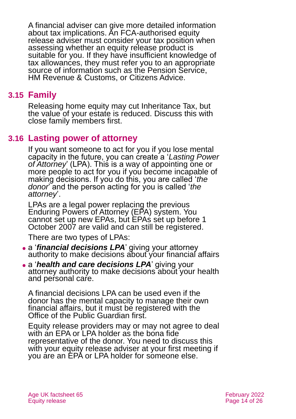A financial adviser can give more detailed information about tax implications. An FCA-authorised equity release adviser must consider your tax position when assessing whether an equity release product is suitable for you. If they have insufficient knowledge of tax allowances, they must refer you to an appropriate source of information such as the Pension Service, HM Revenue & Customs, or Citizens Advice.

### **3.15 Family**

Releasing home equity may cut Inheritance Tax, but the value of your estate is reduced. Discuss this with close family members first.

#### **3.16 Lasting power of attorney**

If you want someone to act for you if you lose mental capacity in the future, you can create a '*Lasting Power*  of *Attorney*' (LPA). This is a way of appointing one or more people to act for you if you become incapable of making decisions. If you do this, you are called '*the donor*' and the person acting for you is called '*the attorney*'.

LPAs are a legal power replacing the previous Enduring Powers of Attorney (EPA) system. You cannot set up new EPAs, but EPAs set up before 1 October 2007 are valid and can still be registered.

There are two types of LPAs:

- ⚫ a '*financial decisions LPA*' giving your attorney authority to make decisions about your financial affairs
- ⚫ a '*health and care decisions LPA*' giving your attorney authority to make decisions about your health and personal care.

A financial decisions LPA can be used even if the donor has the mental capacity to manage their own financial affairs, but it must be registered with the Office of the Public Guardian first.

Equity release providers may or may not agree to deal with an EPA or LPA holder as the bona fide representative of the donor. You need to discuss this with your equity release adviser at your first meeting if you are an EPA or LPA holder for someone else.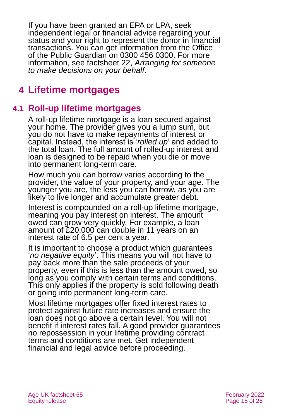If you have been granted an EPA or LPA, seek independent legal or financial advice regarding your status and your right to represent the donor in financial transactions. You can get information from the Office of the Public [Guardian](http://www.publicguardian.gov.uk/) on 0300 456 0300. For more information, see factsheet 22, *[Arranging for someone](https://www.ageuk.org.uk/globalassets/age-uk/documents/factsheets/fs22_arranging_for_someone_to_make_decisions_on_your_behalf_fcs.pdf)  [to make decisions on your behalf](https://www.ageuk.org.uk/globalassets/age-uk/documents/factsheets/fs22_arranging_for_someone_to_make_decisions_on_your_behalf_fcs.pdf)*.

## <span id="page-14-0"></span>**4 Lifetime mortgages**

## **4.1 Roll-up lifetime mortgages**

A roll-up lifetime mortgage is a loan secured against your home. The provider gives you a lump sum, but you do not have to make repayments of interest or capital. Instead, the interest is '*rolled up*' and added to the total loan. The full amount of rolled-up interest and loan is designed to be repaid when you die or move into permanent long-term care.

How much you can borrow varies according to the provider, the value of your property, and your age. The younger you are, the less you can borrow, as you are likely to live longer and accumulate greater debt.

Interest is compounded on a roll-up lifetime mortgage, meaning you pay interest on interest. The amount owed can grow very quickly. For example, a loan amount of £20,000 can double in 11 years on an interest rate of 6.5 per cent a year.

It is important to choose a product which guarantees '*no negative equity*'. This means you will not have to pay back more than the sale proceeds of your property, even if this is less than the amount owed, so long as you comply with certain terms and conditions. This only applies if the property is sold following death or going into permanent long-term care.

Most lifetime mortgages offer fixed interest rates to protect against future rate increases and ensure the loan does not go above a certain level. You will not benefit if interest rates fall. A good provider guarantees no repossession in your lifetime providing contract terms and conditions are met. Get independent financial and legal advice before proceeding.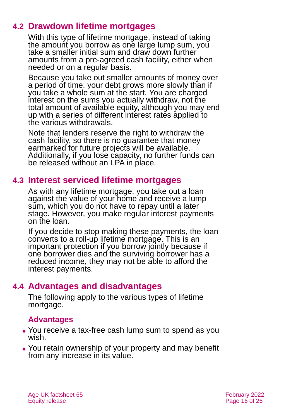## **4.2 Drawdown lifetime mortgages**

With this type of lifetime mortgage, instead of taking the amount you borrow as one large lump sum, you take a smaller initial sum and draw down further amounts from a pre-agreed cash facility, either when needed or on a regular basis.

Because you take out smaller amounts of money over a period of time, your debt grows more slowly than if you take a whole sum at the start. You are charged interest on the sums you actually withdraw, not the total amount of available equity, although you may end up with a series of different interest rates applied to the various withdrawals.

Note that lenders reserve the right to withdraw the cash facility, so there is no guarantee that money earmarked for future projects will be available. Additionally, if you lose capacity, no further funds can be released without an LPA in place.

## **4.3 Interest serviced lifetime mortgages**

As with any lifetime mortgage, you take out a loan against the value of your home and receive a lump sum, which you do not have to repay until a later stage. However, you make regular interest payments on the loan.

If you decide to stop making these payments, the loan converts to a roll-up lifetime mortgage. This is an important protection if you borrow jointly because if one borrower dies and the surviving borrower has a reduced income, they may not be able to afford the interest payments.

## **4.4 Advantages and disadvantages**

The following apply to the various types of lifetime mortgage.

#### **Advantages**

- ⚫ You receive a tax-free cash lump sum to spend as you wish.
- You retain ownership of your property and may benefit from any increase in its value.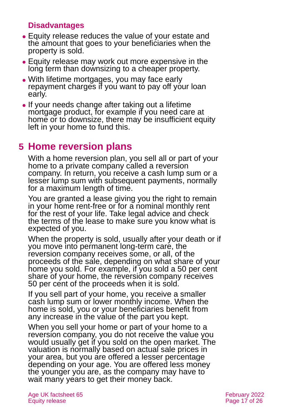#### **Disadvantages**

- ⚫ Equity release reduces the value of your estate and the amount that goes to your beneficiaries when the property is sold.
- ⚫ Equity release may work out more expensive in the long term than downsizing to a cheaper property.
- ⚫ With lifetime mortgages, you may face early repayment charges if you want to pay off your loan early.
- ⚫ If your needs change after taking out a lifetime mortgage product, for example if you need care at home or to downsize, there may be insufficient equity left in your home to fund this.

## <span id="page-16-0"></span>**5 Home reversion plans**

With a home reversion plan, you sell all or part of your home to a private company called a reversion company. In return, you receive a cash lump sum or a lesser lump sum with subsequent payments, normally for a maximum length of time.

You are granted a lease giving you the right to remain in your home rent-free or for a nominal monthly rent for the rest of your life. Take legal advice and check the terms of the lease to make sure you know what is expected of you.

When the property is sold, usually after your death or if you move into permanent long-term care, the reversion company receives some, or all, of the proceeds of the sale, depending on what share of your home you sold. For example, if you sold a 50 per cent share of your home, the reversion company receives 50 per cent of the proceeds when it is sold.

If you sell part of your home, you receive a smaller cash lump sum or lower monthly income. When the home is sold, you or your beneficiaries benefit from any increase in the value of the part you kept.

When you sell your home or part of your home to a reversion company, you do not receive the value you would usually get if you sold on the open market. The valuation is normally based on actual sale prices in your area, but you are offered a lesser percentage depending on your age. You are offered less money the younger you are, as the company may have to wait many years to get their money back.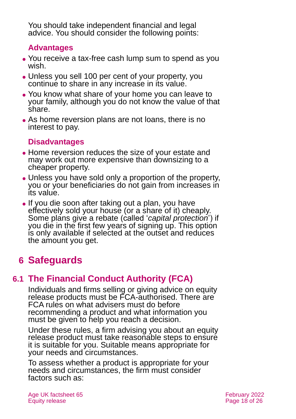You should take independent financial and legal advice. You should consider the following points:

#### **Advantages**

- ⚫ You receive a tax-free cash lump sum to spend as you wish.
- ⚫ Unless you sell 100 per cent of your property, you continue to share in any increase in its value.
- ⚫ You know what share of your home you can leave to your family, although you do not know the value of that share.
- As home reversion plans are not loans, there is no interest to pay.

#### **Disadvantages**

- Home reversion reduces the size of your estate and may work out more expensive than downsizing to a cheaper property.
- ⚫ Unless you have sold only a proportion of the property, you or your beneficiaries do not gain from increases in its value.
- ⚫ If you die soon after taking out a plan, you have effectively sold your house (or a share of it) cheaply. Some plans give a rebate (called '*capital protection*') if you die in the first few years of signing up. This option is only available if selected at the outset and reduces the amount you get.

## <span id="page-17-1"></span><span id="page-17-0"></span>**6 Safeguards**

## **6.1 The Financial Conduct Authority (FCA)**

Individuals and firms selling or giving advice on equity release products must be FCA-authorised. There are FCA rules on what advisers must do before recommending a product and what information you must be given to help you reach a decision.

Under these rules, a firm advising you about an equity release product must take reasonable steps to ensure it is suitable for you. Suitable means appropriate for your needs and circumstances.

To assess whether a product is appropriate for your needs and circumstances, the firm must consider factors such as: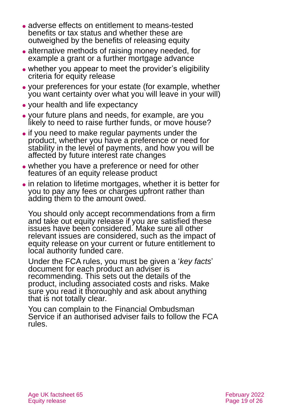- ⚫ adverse effects on entitlement to means-tested benefits or tax status and whether these are outweighed by the benefits of releasing equity
- alternative methods of raising money needed, for example a grant or a further mortgage advance
- ⚫ whether you appear to meet the provider's eligibility criteria for equity release
- ⚫ your preferences for your estate (for example, whether you want certainty over what you will leave in your will)
- ⚫ your health and life expectancy
- ⚫ your future plans and needs, for example, are you likely to need to raise further funds, or move house?
- ⚫ if you need to make regular payments under the product, whether you have a preference or need for stability in the level of payments, and how you will be affected by future interest rate changes
- whether you have a preference or need for other features of an equity release product
- in relation to lifetime mortgages, whether it is better for you to pay any fees or charges upfront rather than adding them to the amount owed.

You should only accept recommendations from a firm and take out equity release if you are satisfied these issues have been considered. Make sure all other relevant issues are considered, such as the impact of equity release on your current or future entitlement to local authority funded care.

Under the FCA rules, you must be given a '*key facts*' document for each product an adviser is recommending. This sets out the details of the product, including associated costs and risks. Make sure you read it thoroughly and ask about anything that is not totally clear.

You can complain to the Financial Ombudsman Service if an authorised adviser fails to follow the FCA rules.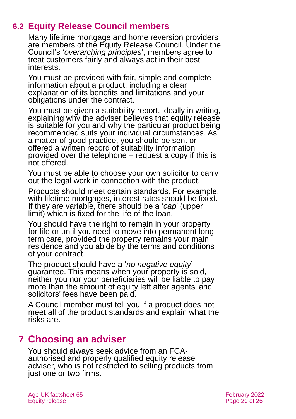## **6.2 Equity Release Council members**

Many lifetime mortgage and home reversion providers are members of the [Equity Release Council.](http://www.equityreleasecouncil.com/) Under the Council's '*overarching principles*', members agree to treat customers fairly and always act in their best interests.

You must be provided with fair, simple and complete information about a product, including a clear explanation of its benefits and limitations and your obligations under the contract.

You must be given a suitability report, ideally in writing, explaining why the adviser believes that equity release is suitable for you and why the particular product being recommended suits your individual circumstances. As a matter of good practice, you should be sent or offered a written record of suitability information provided over the telephone – request a copy if this is not offered.

You must be able to choose your own solicitor to carry out the legal work in connection with the product.

Products should meet certain standards. For example, with lifetime mortgages, interest rates should be fixed. If they are variable, there should be a '*cap*' (upper limit) which is fixed for the life of the loan.

You should have the right to remain in your property for life or until you need to move into permanent longterm care, provided the property remains your main residence and you abide by the terms and conditions of your contract.

The product should have a '*no negative equity*' guarantee. This means when your property is sold, neither you nor your beneficiaries will be liable to pay more than the amount of equity left after agents' and solicitors' fees have been paid.

A Council member must tell you if a product does not meet all of the product standards and explain what the risks are.

## <span id="page-19-0"></span>**7 Choosing an adviser**

You should always seek advice from an FCAauthorised and properly qualified equity release adviser, who is not restricted to selling products from just one or two firms.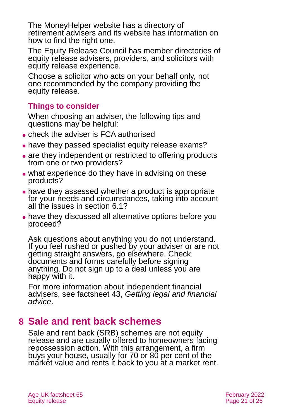The MoneyHelper website has a directory of retirement advisers and its website has information on how to find the right one.

The [Equity Release Council](http://www.equityreleasecouncil.com/) has member directories of equity release advisers, providers, and solicitors with equity release experience.

Choose a solicitor who acts on your behalf only, not one recommended by the company providing the equity release.

#### **Things to consider**

When choosing an adviser, the following tips and questions may be helpful:

- ⚫ check the adviser is FCA authorised
- have they passed specialist equity release exams?
- are they independent or restricted to offering products from one or two providers?
- what experience do they have in advising on these products?
- have they assessed whether a product is appropriate for your needs and circumstances, taking into account all the issues in [section 6.1?](#page-17-1)
- ⚫ have they discussed all alternative options before you proceed?

Ask questions about anything you do not understand. If you feel rushed or pushed by your adviser or are not getting straight answers, go elsewhere. Check documents and forms carefully before signing anything. Do not sign up to a deal unless you are happy with it.

For more information about independent financial advisers, see factsheet 43, *[Getting legal and financial](https://www.ageuk.org.uk/globalassets/age-uk/documents/factsheets/fs43-getting-legal-and-financial-advice.pdf)  [advice](https://www.ageuk.org.uk/globalassets/age-uk/documents/factsheets/fs43-getting-legal-and-financial-advice.pdf)*.

## <span id="page-20-0"></span>**8 Sale and rent back schemes**

Sale and rent back (SRB) schemes are not equity release and are usually offered to homeowners facing repossession action. With this arrangement, a firm buys your house, usually for 70 or 80 per cent of the market value and rents it back to you at a market rent.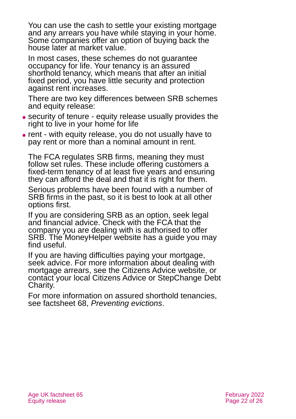You can use the cash to settle your existing mortgage and any arrears you have while staying in your home. Some companies offer an option of buying back the house later at market value.

In most cases, these schemes do not guarantee occupancy for life. Your tenancy is an assured shorthold tenancy, which means that after an initial fixed period, you have little security and protection against rent increases.

There are two key differences between SRB schemes and equity release:

- ⚫ security of tenure equity release usually provides the right to live in your home for life
- ⚫ rent with equity release, you do not usually have to pay rent or more than a nominal amount in rent.

The FCA regulates SRB firms, meaning they must follow set rules. These include offering customers a fixed-term tenancy of at least five years and ensuring they can afford the deal and that it is right for them.

Serious problems have been found with a number of SRB firms in the past, so it is best to look at all other options first.

If you are considering SRB as an option, seek legal and financial advice. Check with the FCA that the company you are dealing with is authorised to offer SRB. The [MoneyHelper website](https://www.moneyhelper.org.uk/en/homes/buying-a-home/sale-and-rent-back-schemes) has a guide you may find useful.

If you are having difficulties paying your mortgage, seek advice. For more information about dealing with mortgage arrears, see the [Citizens Advice](http://www.citizensadvice.org.uk/) website, or contact your local [Citizens Advice](#page-22-0) or [StepChange](http://www.nationaldebtline.org/) Debt Charity.

For more information on assured shorthold tenancies, see [factsheet 68,](https://www.ageuk.org.uk/globalassets/age-uk/documents/factsheets/fs68_tenancy_rights_security_of_tenure_fcs.pdf) *Preventing evictions*.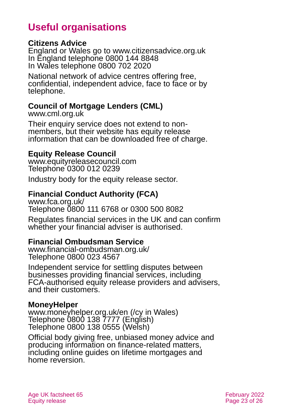## **Useful organisations**

#### <span id="page-22-0"></span>**Citizens Advice**

England or Wales go to [www.citizensadvice.org.uk](http://www.citizensadvice.org.uk/) In England telephone 0800 144 8848 In Wales telephone 0800 702 2020

National network of advice centres offering free, confidential, independent advice, face to face or by telephone.

#### **Council of Mortgage Lenders (CML)**

[www.cml.org.uk](http://www.cml.org.uk/)

Their enquiry service does not extend to nonmembers, but their website has equity release information that can be downloaded free of charge.

#### **Equity Release Council**

[www.equityreleasecouncil.com](http://www.equityreleasecouncil.com/) Telephone 0300 012 0239

Industry body for the equity release sector.

#### **Financial Conduct Authority (FCA)**

[www.fca.org.uk/](http://www.fca.org.uk/) Telephone 0800 111 6768 or 0300 500 8082

Regulates financial services in the UK and can confirm whether your financial adviser is authorised.

#### **Financial Ombudsman Service**

[www.financial-ombudsman.org.uk/](http://www.financial-ombudsman.org.uk/) Telephone 0800 023 4567

Independent service for settling disputes between businesses providing financial services, including FCA-authorised equity release providers and advisers, and their customers.

#### **MoneyHelper**

[www.moneyhelper.org.uk/en](http://www.moneyhelper.org.uk/en) [\(/cy in Wales\)](https://www.moneyhelper.org.uk/cy) Telephone 0800 138 7777 (English) Telephone [0800](tel:+443003300520) 138 0555 (Welsh)

Official body giving free, unbiased money advice and producing information on finance-related matters, including online guides on lifetime mortgages and home reversion.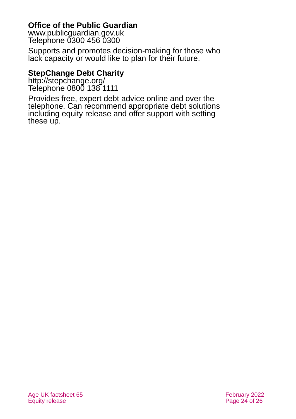#### **Office of the Public Guardian**

[www.publicguardian.gov.uk](http://www.publicguardian.gov.uk/) Telephone 0300 456 0300

Supports and promotes decision-making for those who lack capacity or would like to plan for their future.

#### **StepChange Debt Charity**

<http://stepchange.org/> Telephone 0800 138 1111

Provides free, expert debt advice online and over the telephone. Can recommend appropriate debt solutions including equity release and offer support with setting these up.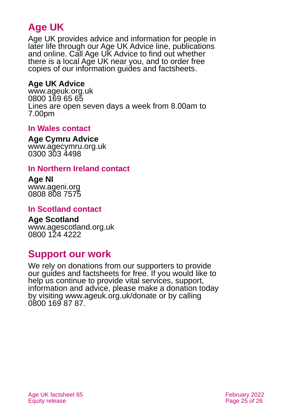## **Age UK**

Age UK provides advice and information for people in later life through our Age UK Advice line, publications and online. Call Age UK Advice to find out whether there is a local Age UK near you, and to order free copies of our information guides and factsheets.

#### <span id="page-24-1"></span>**Age UK Advice**

[www.ageuk.org.uk](http://www.ageuk.org.uk/) 0800 169 65 65 Lines are open seven days a week from 8.00am to 7.00pm

#### **In Wales contact**

#### **Age Cymru Advice**

[www.agecymru.org.uk](http://www.agecymru.org.uk/) 0300 303 4498

#### **In Northern Ireland contact**

#### **Age NI** [www.ageni.org](http://www.ageni.org/)

0808 808 7575

#### <span id="page-24-0"></span>**In Scotland contact**

## <span id="page-24-2"></span>**Age Scotland**

[www.agescotland.org.uk](http://www.agescotland.org.uk/) 0800 124 4222

## **Support our work**

We rely on donations from our supporters to provide our guides and factsheets for free. If you would like to help us continue to provide vital services, support, information and advice, please make a donation today by visiting [www.ageuk.org.uk/donate](http://www.ageuk.org.uk/donate) or by calling 0800 169 87 87.